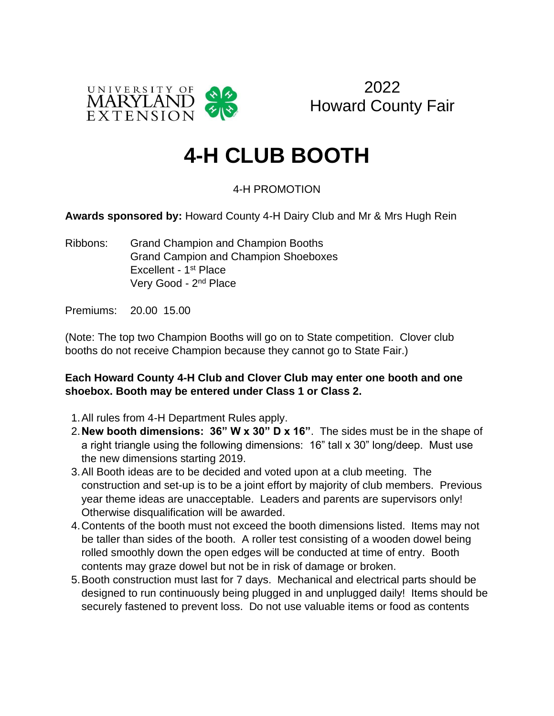



## **4-H CLUB BOOTH**

## 4-H PROMOTION

**Awards sponsored by:** Howard County 4-H Dairy Club and Mr & Mrs Hugh Rein

Ribbons: Grand Champion and Champion Booths Grand Campion and Champion Shoeboxes Excellent - 1<sup>st</sup> Place Very Good - 2<sup>nd</sup> Place

Premiums: 20.00 15.00

(Note: The top two Champion Booths will go on to State competition. Clover club booths do not receive Champion because they cannot go to State Fair.)

## **Each Howard County 4-H Club and Clover Club may enter one booth and one shoebox. Booth may be entered under Class 1 or Class 2.**

- 1.All rules from 4-H Department Rules apply.
- 2.**New booth dimensions: 36" W x 30" D x 16"**. The sides must be in the shape of a right triangle using the following dimensions: 16" tall x 30" long/deep. Must use the new dimensions starting 2019.
- 3.All Booth ideas are to be decided and voted upon at a club meeting. The construction and set-up is to be a joint effort by majority of club members. Previous year theme ideas are unacceptable. Leaders and parents are supervisors only! Otherwise disqualification will be awarded.
- 4.Contents of the booth must not exceed the booth dimensions listed. Items may not be taller than sides of the booth. A roller test consisting of a wooden dowel being rolled smoothly down the open edges will be conducted at time of entry. Booth contents may graze dowel but not be in risk of damage or broken.
- 5.Booth construction must last for 7 days. Mechanical and electrical parts should be designed to run continuously being plugged in and unplugged daily! Items should be securely fastened to prevent loss. Do not use valuable items or food as contents